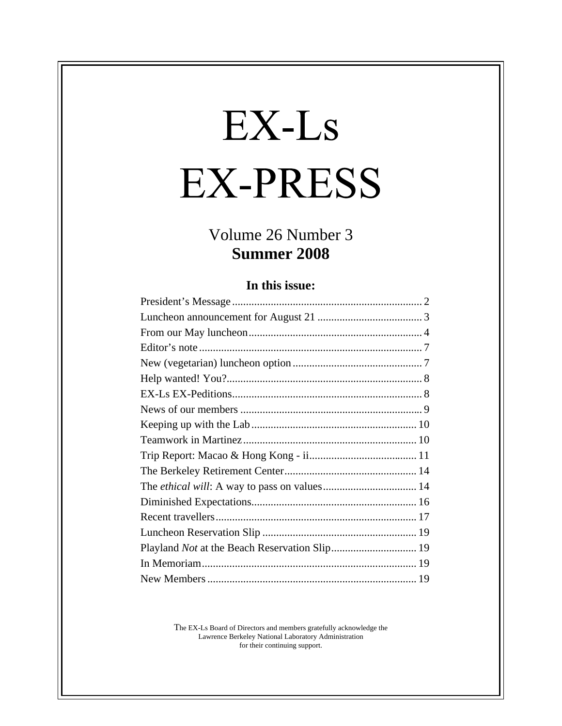# EX-Ls **EX-PRESS**

# Volume 26 Number 3 **Summer 2008**

#### **In this issue:**

The EX-Ls Board of Directors and members gratefully acknowledge the Lawrence Berkeley National Laboratory Administration for their continuing support.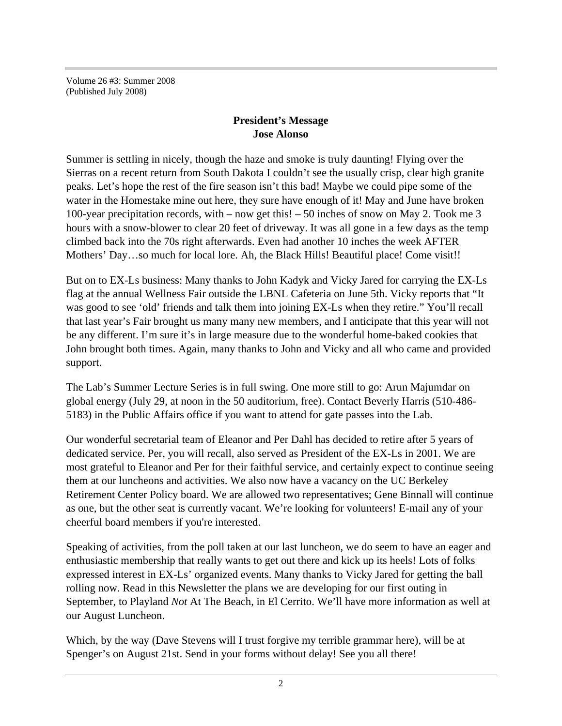Volume 26 #3: Summer 2008 (Published July 2008)

#### **President's Message Jose Alonso**

Summer is settling in nicely, though the haze and smoke is truly daunting! Flying over the Sierras on a recent return from South Dakota I couldn't see the usually crisp, clear high granite peaks. Let's hope the rest of the fire season isn't this bad! Maybe we could pipe some of the water in the Homestake mine out here, they sure have enough of it! May and June have broken 100-year precipitation records, with – now get this! – 50 inches of snow on May 2. Took me 3 hours with a snow-blower to clear 20 feet of driveway. It was all gone in a few days as the temp climbed back into the 70s right afterwards. Even had another 10 inches the week AFTER Mothers' Day…so much for local lore. Ah, the Black Hills! Beautiful place! Come visit!!

But on to EX-Ls business: Many thanks to John Kadyk and Vicky Jared for carrying the EX-Ls flag at the annual Wellness Fair outside the LBNL Cafeteria on June 5th. Vicky reports that "It was good to see 'old' friends and talk them into joining EX-Ls when they retire." You'll recall that last year's Fair brought us many many new members, and I anticipate that this year will not be any different. I'm sure it's in large measure due to the wonderful home-baked cookies that John brought both times. Again, many thanks to John and Vicky and all who came and provided support.

The Lab's Summer Lecture Series is in full swing. One more still to go: Arun Majumdar on global energy (July 29, at noon in the 50 auditorium, free). Contact Beverly Harris (510-486- 5183) in the Public Affairs office if you want to attend for gate passes into the Lab.

Our wonderful secretarial team of Eleanor and Per Dahl has decided to retire after 5 years of dedicated service. Per, you will recall, also served as President of the EX-Ls in 2001. We are most grateful to Eleanor and Per for their faithful service, and certainly expect to continue seeing them at our luncheons and activities. We also now have a vacancy on the UC Berkeley Retirement Center Policy board. We are allowed two representatives; Gene Binnall will continue as one, but the other seat is currently vacant. We're looking for volunteers! E-mail any of your cheerful board members if you're interested.

Speaking of activities, from the poll taken at our last luncheon, we do seem to have an eager and enthusiastic membership that really wants to get out there and kick up its heels! Lots of folks expressed interest in EX-Ls' organized events. Many thanks to Vicky Jared for getting the ball rolling now. Read in this Newsletter the plans we are developing for our first outing in September, to Playland *Not* At The Beach, in El Cerrito. We'll have more information as well at our August Luncheon.

Which, by the way (Dave Stevens will I trust forgive my terrible grammar here), will be at Spenger's on August 21st. Send in your forms without delay! See you all there!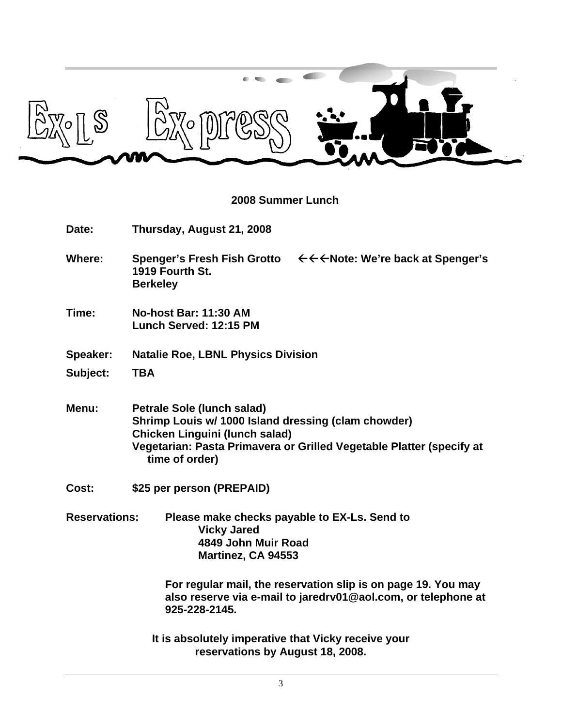

#### **2008 Summer Lunch**

| Date:                | Thursday, August 21, 2008                                                                                                                                                                                                   |
|----------------------|-----------------------------------------------------------------------------------------------------------------------------------------------------------------------------------------------------------------------------|
| <b>Where:</b>        | 1919 Fourth St.<br><b>Berkeley</b>                                                                                                                                                                                          |
| Time:                | <b>No-host Bar: 11:30 AM</b><br>Lunch Served: 12:15 PM                                                                                                                                                                      |
| Speaker:             | <b>Natalie Roe, LBNL Physics Division</b>                                                                                                                                                                                   |
| Subject:             | <b>TBA</b>                                                                                                                                                                                                                  |
| Menu:                | <b>Petrale Sole (lunch salad)</b><br>Shrimp Louis w/ 1000 Island dressing (clam chowder)<br><b>Chicken Linguini (lunch salad)</b><br>Vegetarian: Pasta Primavera or Grilled Vegetable Platter (specify at<br>time of order) |
| Cost:                | \$25 per person (PREPAID)                                                                                                                                                                                                   |
| <b>Reservations:</b> | Please make checks payable to EX-Ls. Send to<br><b>Vicky Jared</b><br>4849 John Muir Road<br>Martinez, CA 94553<br>For regular mail, the reservation slip is on page 19. You may                                            |
|                      | also reserve via e-mail to jaredrv01@aol.com, or telephone at<br>925-228-2145.                                                                                                                                              |
|                      | It is absolutely imperative that Vicky receive your<br>reservations by August 18, 2008.                                                                                                                                     |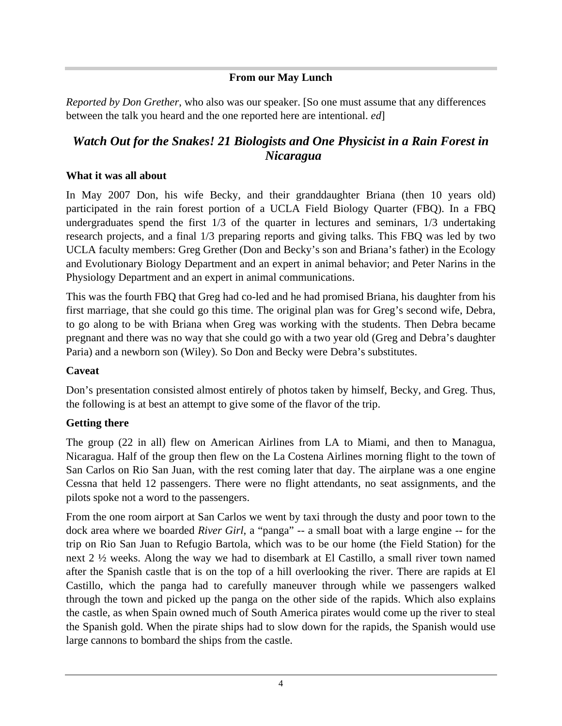#### **From our May Lunch**

*Reported by Don Grether*, who also was our speaker. [So one must assume that any differences between the talk you heard and the one reported here are intentional. *ed*]

# *Watch Out for the Snakes! 21 Biologists and One Physicist in a Rain Forest in Nicaragua*

#### **What it was all about**

In May 2007 Don, his wife Becky, and their granddaughter Briana (then 10 years old) participated in the rain forest portion of a UCLA Field Biology Quarter (FBQ). In a FBQ undergraduates spend the first 1/3 of the quarter in lectures and seminars, 1/3 undertaking research projects, and a final 1/3 preparing reports and giving talks. This FBQ was led by two UCLA faculty members: Greg Grether (Don and Becky's son and Briana's father) in the Ecology and Evolutionary Biology Department and an expert in animal behavior; and Peter Narins in the Physiology Department and an expert in animal communications.

This was the fourth FBQ that Greg had co-led and he had promised Briana, his daughter from his first marriage, that she could go this time. The original plan was for Greg's second wife, Debra, to go along to be with Briana when Greg was working with the students. Then Debra became pregnant and there was no way that she could go with a two year old (Greg and Debra's daughter Paria) and a newborn son (Wiley). So Don and Becky were Debra's substitutes.

#### **Caveat** experimental contract the contract of the contract of the contract of the contract of the contract of the contract of the contract of the contract of the contract of the contract of the contract of the contract of

Don's presentation consisted almost entirely of photos taken by himself, Becky, and Greg. Thus, the following is at best an attempt to give some of the flavor of the trip.

#### **Getting there**

The group (22 in all) flew on American Airlines from LA to Miami, and then to Managua, Nicaragua. Half of the group then flew on the La Costena Airlines morning flight to the town of San Carlos on Rio San Juan, with the rest coming later that day. The airplane was a one engine Cessna that held 12 passengers. There were no flight attendants, no seat assignments, and the pilots spoke not a word to the passengers.

From the one room airport at San Carlos we went by taxi through the dusty and poor town to the dock area where we boarded *River Girl*, a "panga" -- a small boat with a large engine -- for the trip on Rio San Juan to Refugio Bartola, which was to be our home (the Field Station) for the next 2 ½ weeks. Along the way we had to disembark at El Castillo, a small river town named after the Spanish castle that is on the top of a hill overlooking the river. There are rapids at El Castillo, which the panga had to carefully maneuver through while we passengers walked through the town and picked up the panga on the other side of the rapids. Which also explains the castle, as when Spain owned much of South America pirates would come up the river to steal the Spanish gold. When the pirate ships had to slow down for the rapids, the Spanish would use large cannons to bombard the ships from the castle.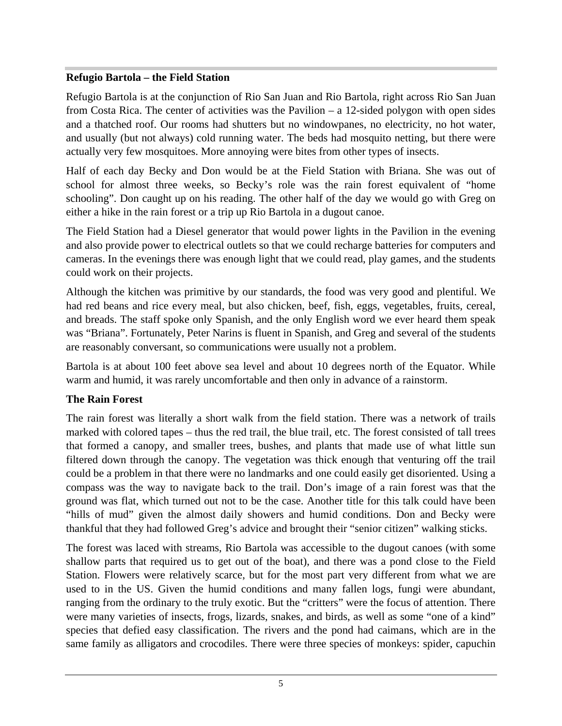#### **Refugio Bartola – the Field Station**

Refugio Bartola is at the conjunction of Rio San Juan and Rio Bartola, right across Rio San Juan from Costa Rica. The center of activities was the Pavilion – a 12-sided polygon with open sides and a thatched roof. Our rooms had shutters but no windowpanes, no electricity, no hot water, and usually (but not always) cold running water. The beds had mosquito netting, but there were actually very few mosquitoes. More annoying were bites from other types of insects.

Half of each day Becky and Don would be at the Field Station with Briana. She was out of school for almost three weeks, so Becky's role was the rain forest equivalent of "home schooling". Don caught up on his reading. The other half of the day we would go with Greg on either a hike in the rain forest or a trip up Rio Bartola in a dugout canoe.

The Field Station had a Diesel generator that would power lights in the Pavilion in the evening and also provide power to electrical outlets so that we could recharge batteries for computers and cameras. In the evenings there was enough light that we could read, play games, and the students could work on their projects.

Although the kitchen was primitive by our standards, the food was very good and plentiful. We had red beans and rice every meal, but also chicken, beef, fish, eggs, vegetables, fruits, cereal, and breads. The staff spoke only Spanish, and the only English word we ever heard them speak was "Briana". Fortunately, Peter Narins is fluent in Spanish, and Greg and several of the students are reasonably conversant, so communications were usually not a problem.

Bartola is at about 100 feet above sea level and about 10 degrees north of the Equator. While warm and humid, it was rarely uncomfortable and then only in advance of a rainstorm.

#### **The Rain Forest**

The rain forest was literally a short walk from the field station. There was a network of trails marked with colored tapes – thus the red trail, the blue trail, etc. The forest consisted of tall trees that formed a canopy, and smaller trees, bushes, and plants that made use of what little sun filtered down through the canopy. The vegetation was thick enough that venturing off the trail could be a problem in that there were no landmarks and one could easily get disoriented. Using a compass was the way to navigate back to the trail. Don's image of a rain forest was that the ground was flat, which turned out not to be the case. Another title for this talk could have been "hills of mud" given the almost daily showers and humid conditions. Don and Becky were thankful that they had followed Greg's advice and brought their "senior citizen" walking sticks.

The forest was laced with streams, Rio Bartola was accessibleto the dugout canoes (with some shallow parts that required us to get out of the boat), and there was a pond close to the Field Station. Flowers were relatively scarce, but for the most part very different from what we are used to in the US. Given the humid conditions and many fallen logs, fungi were abundant, ranging from the ordinary to the truly exotic. But the "critters" were the focus of attention. There were many varieties of insects, frogs, lizards, snakes, and birds, as well as some "one of a kind" species that defied easy classification. The rivers and the pond had caimans, which are in the same family as alligators and crocodiles. There were three species of monkeys: spider, capuchin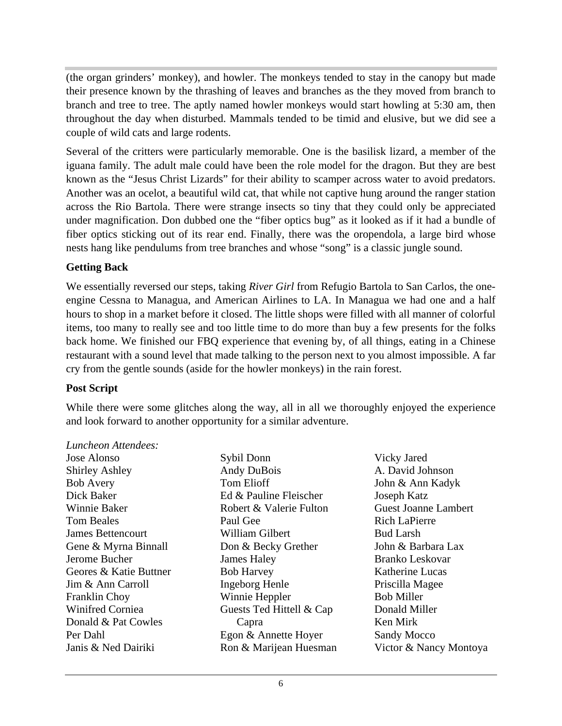(the organ grinders' monkey), and howler. The monkeys tended to stay in the canopy but made their presence known by the thrashing of leaves and branches as the they moved from branch to branch and tree to tree. The aptly named howler monkeys would start howling at 5:30 am, then throughout the day when disturbed. Mammals tended to be timid and elusive, but we did see a couple of wild cats and large rodents.

Several of the critters were particularly memorable. One is the basilisk lizard, a member of the iguana family. The adult male could have been the role model for the dragon. But they are best known as the "Jesus Christ Lizards" for their ability to scamper across water to avoid predators. Another was an ocelot, a beautiful wild cat, that while not captive hung around the ranger station across the Rio Bartola. There were strange insects so tiny that they could only be appreciated under magnification. Don dubbed one the "fiber optics bug" as it looked as if it had a bundle of fiber optics sticking out of its rear end. Finally, there was the oropendola, a large bird whose nests hang like pendulums from tree branches and whose "song" is a classic jungle sound.

#### **Getting Back**

We essentially reversed our steps, taking *River Girl* from Refugio Bartola to San Carlos, the one engine Cessna to Managua, and American Airlines to LA. In Managua we had one and a half hours to shop in a market before it closed. The little shops were filled with all manner of colorful items, too many to really see and too little time to do more than buy a few presents for the folks back home. We finished our FBQ experience that evening by, of all things, eating in a Chinese restaurant with a sound level that made talking to the person next to you almost impossible. A far cry from the gentle sounds (aside for the howler monkeys) in the rain forest.

#### **Post Script**

While there were some glitches along the way, all in all we thoroughly enjoyed the experience and look forward to another opportunity for a similar adventure.

#### *Luncheon Attendees:*

Jose Alonso Shirley Ashley **Andy DuBois** A. David Johnson Bob Avery **Example 3** Tom Elioff **Solution** John & Ann Kadyk Dick Baker Ed & Pauline Fleischer Winnie Baker Guest Joanne Lambert Tom Beales **Solution** Paul Gee **Rich LaPierre** Rich LaPierre James Bettencourt Gene & Myrna Binnall **Don & Becky Grether** John & Barbara Lax Jerome Bucher Geores & Katie Buttner Bob Harvey Katherine Lucas Jim & Ann Carroll Franklin Choy **Example Server Winnie Heppler** Bob Miller Winifred Corniea **Guests Ted Hittell & Cap Donald Miller** Donald & Pat Cowles Capra Capra Capra Ken Mirk Per Dahl Egon & Annette Hoyer Janis & Ned Dairiki Victor & Nancy MontoyaSybil Donn Vicky Jared Andy DuBois A. David Johnson Tom Elioff John & Ann Kadyk Robert & Valerie Fulton Guest Joanne Lambert Paul Gee Rich LaPierre William Gilbert **James Haley Senside Branko Leskovar** Bob Harvey **Example 1** Katherine Lucas Ingeborg Henle Winnie Heppler Ron & Marijean Huesman Victor & Nancy Montoya

Capra Vicky Jared A. David Johnson John & Ann Kadyk Joseph Katz Rich LaPierre Bud Larsh John & Barbara Lax Branko Leskovar Katherine Lucas Priscilla Magee Bob Miller Donald Miller Ken Mirk Sandy Mocco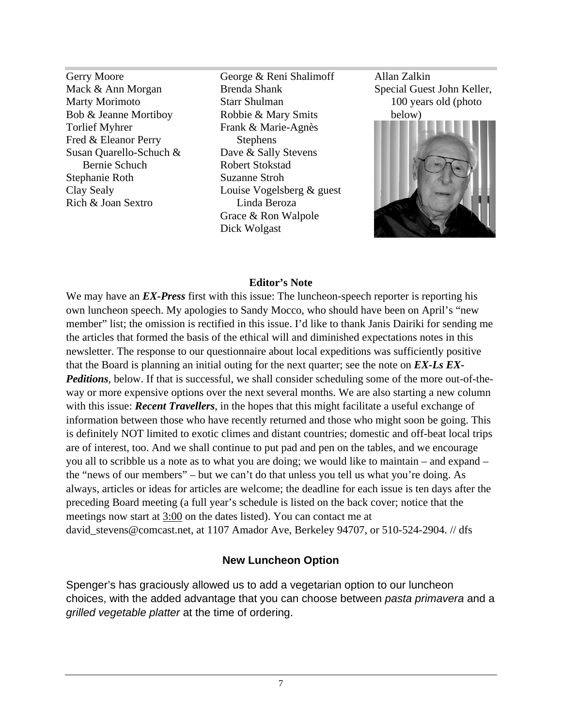Susan Quarello-Schuch &

Gerry Moore George & Reni Shalimoff Mack & Ann Morgan Brenda Shank Special Guest John Keller, Marty Morimoto **Starr Shulman** 100 years old (photo 100 years old 100 years old 100 years old (photo Bob & Jeanne Mortiboy Robbie & Mary Smits below) Brenda Shank Special Guest John Keller, Starr Shulman and 100 years old (photo Robbie & Mary Smits Dave & Sally Stevens Dick Wolgast

Allan Zalkin Special Guest John Keller, 100 years old (photo below) and the set of  $\mathcal{L}$ 



#### **Editor's Note**

We may have an *EX-Press* first with this issue: The luncheon-speech reporter is reporting his own luncheon speech. My apologies to Sandy Mocco, who should have been on April's "new member" list; the omission is rectified in this issue. I'd like to thank Janis Dairiki for sending me the articles that formed the basis of the ethical will and diminished expectations notes in this newsletter. The response to our questionnaire about local expeditions was sufficiently positive that the Board is planning an initial outing for the next quarter; see the note on *EX-Ls EX- Peditions*, below. If that is successful, we shall consider scheduling some of the more out-of-theway or more expensive options over the next several months. We are also starting a new column with this issue: *Recent Travellers*, in the hopes that this might facilitate a useful exchange of information between those who have recently returned and those who might soon be going. This is definitely NOT limited to exotic climes and distant countries; domestic and off-beat local trips are of interest, too. And we shall continue to put pad and pen on the tables, and we encourage you all to scribble us a note as to what you are doing; we would like to maintain – and expand – the "news of our members" – but we can't do that unless you tell us what you're doing. As always, articles or ideas for articles are welcome; the deadline for each issue is ten days after the preceding Board meeting (a full year's schedule is listed on the back cover; notice that the meetings now start at 3:00 on the dates listed). You can contact me at david stevens@comcast.net, at 1107 Amador Ave, Berkeley 94707, or 510-524-2904. // dfs

#### **New Luncheon Option**

Spenger's has graciously allowed us to add a vegetarian option to our luncheon choices, with the added advantage that you can choose between pasta primavera and a grilled vegetable platter at the time of ordering.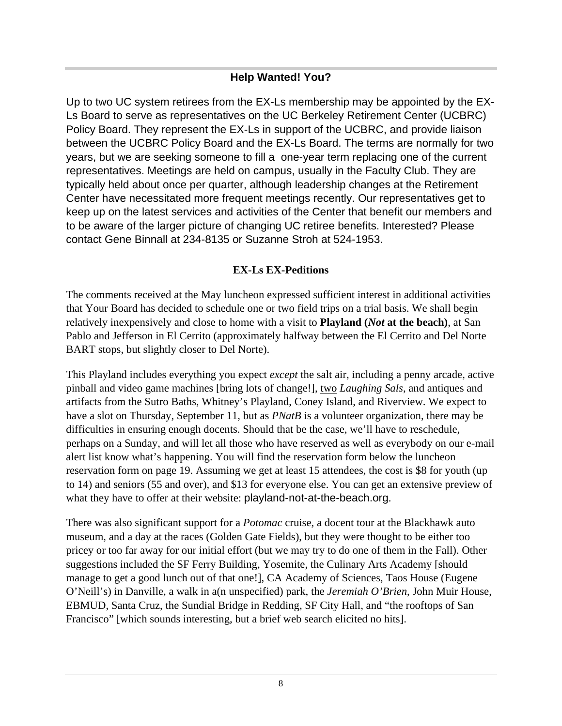# **Help Wanted! You?**

Up to two UC system retirees from the EX-Ls membership may be appointed by the EX- Ls Board to serve as representatives on the UC Berkeley Retirement Center (UCBRC) Policy Board. They represent the EX-Ls in support of the UCBRC, and provide liaison between the UCBRC Policy Board and the EX-Ls Board. The terms are normally for two years, but we are seeking someone to fill a one-year term replacing one of the current representatives. Meetings are held on campus, usually in the Faculty Club. They are typically held about once per quarter, although leadership changes at the Retirement Center have necessitated more frequent meetings recently. Our representatives get to keep up on the latest services and activities of the Center that benefit our members and to be aware of the larger picture of changing UC retiree benefits. Interested? Please contact Gene Binnall at 234-8135 or Suzanne Stroh at 524-1953.

#### **EX-Ls EX-Peditions**

The comments received at the May luncheon expressed sufficient interest in additional activities that Your Board has decided to schedule one or two field trips on a trial basis. We shall begin relatively inexpensively and close to home with a visit to **Playland (***Not* **at the beach)**, at San Pablo and Jefferson in El Cerrito (approximately halfway between the El Cerrito and Del Norte BART stops, but slightly closer to Del Norte).

This Playland includes everything you expect *except* the salt air, including a penny arcade, active pinball and video game machines [bring lots of change!], two *Laughing Sals*, and antiques and artifacts from the Sutro Baths, Whitney's Playland, Coney Island, and Riverview. We expect to have a slot on Thursday, September 11, but as *PNatB* is a volunteer organization, there may be difficulties in ensuring enough docents. Should that be the case, we'll have to reschedule, perhaps on a Sunday, and will let all those who have reserved as well as everybody on our e-mail alert list know what's happening. You will find the reservation form below the luncheon reservation form on page 19. Assuming we get at least 15 attendees, the cost is \$8 for youth (up to 14) and seniors (55 and over), and \$13 for everyone else. You can get an extensive preview of what they have to offer at their website: playland-not-at-the-beach.org.

There was also significant support for a *Potomac* cruise, a docent tour at the Blackhawk auto museum, and a day at the races (Golden Gate Fields), but they were thought to be either too pricey or too far away for our initial effort (but we may try to do one of them in the Fall). Other suggestions included the SF Ferry Building, Yosemite, the Culinary Arts Academy [should manage to get a good lunch out of that one!], CA Academy of Sciences, Taos House (Eugene O'Neill's) in Danville, a walk in a(n unspecified) park, the *Jeremiah O'Brien*, John Muir House, EBMUD, Santa Cruz, the Sundial Bridge in Redding, SF City Hall, and "the rooftops of San Francisco" [which sounds interesting, but a brief web search elicited no hits].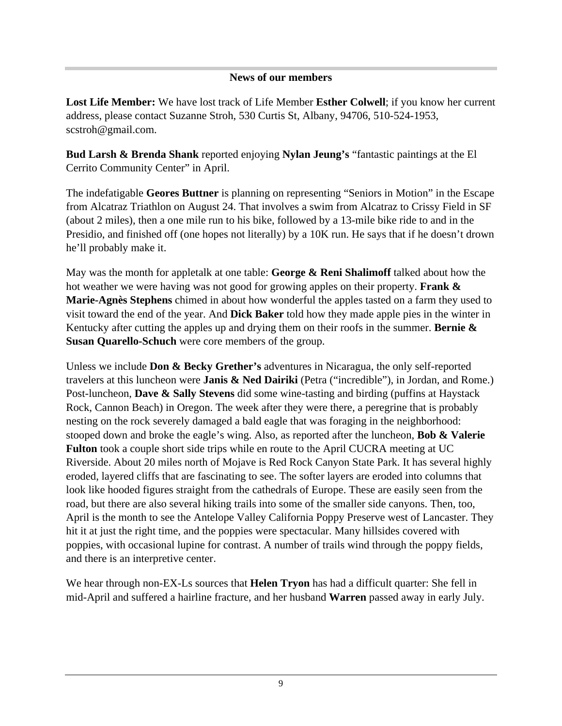#### **News of our members**

**Lost Life Member:** We have lost track of Life Member **Esther Colwell**; if you know her current address, please contact Suzanne Stroh, 530 Curtis St, Albany, 94706, 510-524-1953, scstroh@gmail.com.

**Bud Larsh & Brenda Shank** reported enjoying **Nylan Jeung's** "fantastic paintings at the El Cerrito Community Center" in April.

The indefatigable **Geores Buttner** is planning on representing "Seniors in Motion" in the Escape from Alcatraz Triathlon on August 24. That involves a swim from Alcatraz to Crissy Field in SF (about 2 miles), then a one mile run to his bike, followed by a 13-mile bike ride to and in the Presidio, and finished off (one hopes not literally) by a 10K run. He says that if he doesn't drown he'll probably make it.

May was the month for appletalk at one table: **George & Reni Shalimoff** talked about how the hot weather we were having was not good for growing apples on their property. **Frank & Marie-Agnès Stephens** chimed in about how wonderful the apples tasted on a farm they used to visit toward the end of the year. And **Dick Baker** told how they made apple pies in the winter in Kentucky after cutting the apples up and drying them on their roofs in the summer. **Bernie & Susan Quarello-Schuch** were core members of the group.

Unless we include **Don & Becky Grether's** adventures in Nicaragua, the only self-reported travelers at this luncheon were **Janis & Ned Dairiki** (Petra ("incredible"), in Jordan, and Rome.) Post-luncheon, **Dave & Sally Stevens** did some wine-tasting and birding (puffins at Haystack Rock, Cannon Beach) in Oregon. The week after they were there, a peregrine that is probably nesting on the rock severely damaged a bald eagle that was foraging in the neighborhood: stooped down and broke the eagle's wing. Also, as reported after the luncheon, **Bob & Valerie Fulton** took a couple short side trips while en route to the April CUCRA meeting at UC Riverside. About 20 miles north of Mojave is Red Rock Canyon State Park. It has several highly eroded, layered cliffs that are fascinating to see. The softer layers are eroded into columns that look like hooded figures straight from the cathedrals of Europe. These are easily seen from the road, but there are also several hiking trails into some of the smaller side canyons. Then, too, April is the month to see the Antelope Valley California Poppy Preserve west of Lancaster. They hit it at just the right time, and the poppies were spectacular. Many hillsides covered with poppies, with occasional lupine for contrast. A number of trails wind through the poppy fields, and there is an interpretive center.

We hear through non-EX-Ls sources that **Helen Tryon** has had a difficult quarter: She fell in mid-April and suffered a hairline fracture, and her husband **Warren** passed away in early July.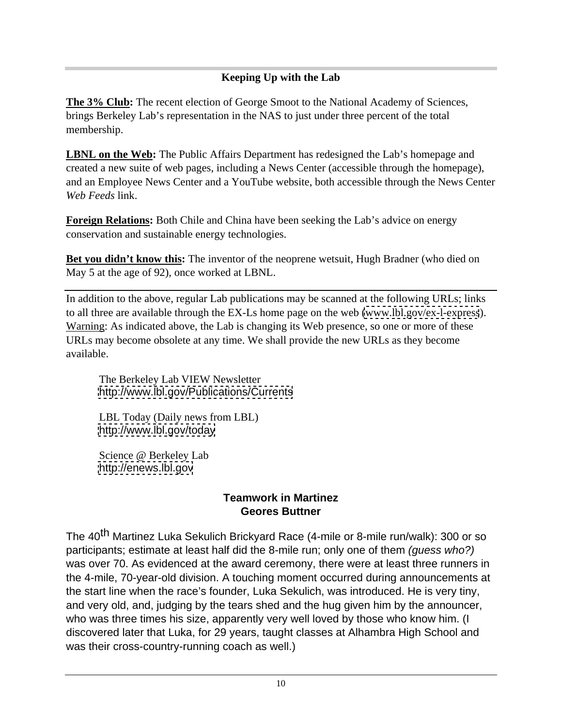## **Keeping Up with the Lab**

**The 3% Club:** The recent election of George Smoot to the National Academy of Sciences, brings Berkeley Lab's representation in the NAS to just under three percent of the total membership.

**LBNL on the Web:** The Public Affairs Department has redesigned the Lab's homepage and created a new suite of web pages, including a News Center (accessible through the homepage), and an Employee News Center and a YouTube website, both accessible through the News Center *Web Feeds* link.

**Foreign Relations:** Both Chile and China have been seeking the Lab's advice on energy conservation and sustainable energy technologies.

**Bet you didn't know this:** The inventor of the neoprene wetsuit, Hugh Bradner (who died on May 5 at the age of 92), once worked at LBNL.

In addition to the above, regular Lab publications may be scanned at the following URLs; links to all three are available through the EX-Ls home page on the web [\(www.lbl.gov/ex-l-express](http://www.lbl.gov/ex-l-express)). Warning: As indicated above, the Lab is changing its Web presence, so one or more of these URLs may become obsolete at any time. We shall provide the new URLs as they become available.

The Berkeley Lab VIEW Newsletter <http://www.lbl.gov/Publications/Currents>

LBL Today (Daily news from LBL) <http://www.lbl.gov/today>

Science @ Berkeley Lab <http://enews.lbl.gov>

#### **Teamwork in Martinez Geores Buttner**

The 40<sup>th</sup> Martinez Luka Sekulich Brickyard Race (4-mile or 8-mile run/walk): 300 or so participants; estimate at least half did the 8-mile run; only one of them (guess who?) was over 70. As evidenced at the award ceremony, there were at least three runners in the 4-mile, 70-year-old division. A touching moment occurred during announcements at the start line when the race's founder, Luka Sekulich, was introduced. He is very tiny, and very old, and, judging by the tears shed and the hug given him by the announcer, who was three times his size, apparently very well loved by those who know him. (I discovered later that Luka, for 29 years, taught classes at Alhambra High School and was their cross-country-running coach as well.)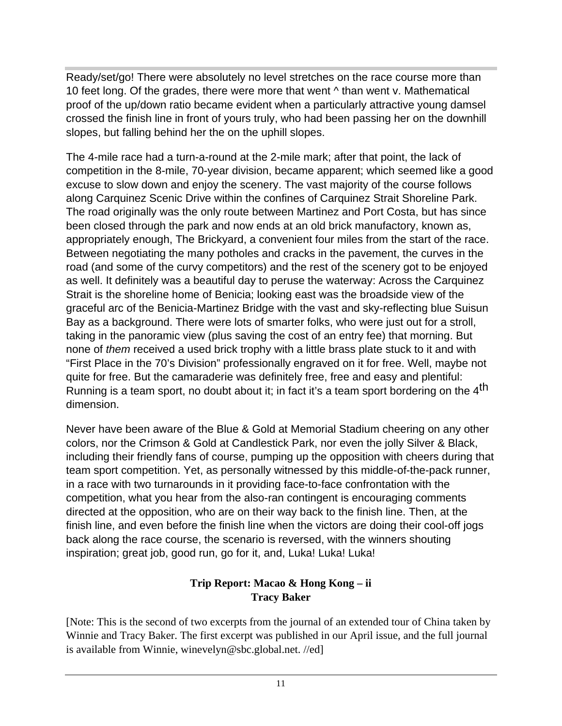Ready/set/go! There were absolutely no level stretches on the race course more than 10 feet long. Of the grades, there were more that went ^ than went v. Mathematical proof of the up/down ratio became evident when a particularly attractive young damsel crossed the finish line in front of yours truly, who had been passing her on the downhill slopes, but falling behind her the on the uphill slopes.

The 4-mile race had a turn-a-round at the 2-mile mark; after that point, the lack of competition in the 8-mile, 70-year division, became apparent; which seemed like a good excuse to slow down and enjoy the scenery. The vast majority of the course follows along Carquinez Scenic Drive within the confines of Carquinez Strait Shoreline Park. The road originally was the only route between Martinez and Port Costa, but has since been closed through the park and now ends at an old brick manufactory, known as, appropriately enough, The Brickyard, a convenient four miles from the start of the race. Between negotiating the many potholes and cracks in the pavement, the curves in the road (and some of the curvy competitors) and the rest of the scenery got to be enjoyed as well. It definitely was a beautiful day to peruse the waterway: Across the Carquinez Strait is the shoreline home of Benicia; looking east was the broadside view of the graceful arc of the Benicia-Martinez Bridge with the vast and sky-reflecting blue Suisun Bay as a background. There were lots of smarter folks, who were just out for a stroll, taking in the panoramic view (plus saving the cost of an entry fee) that morning. But none of them received a used brick trophy with a little brass plate stuck to it and with "First Place in the 70's Division" professionally engraved on it for free. Well, maybe not quite for free. But the camaraderie was definitely free, free and easy and plentiful: Running is a team sport, no doubt about it; in fact it's a team sport bordering on the 4<sup>th</sup> dimension. The contract of the contract of the contract of the contract of the contract of the contract of the contract of the contract of the contract of the contract of the contract of the contract of the contract of the

Never have been aware of the Blue & Gold at Memorial Stadium cheering on any other colors, nor the Crimson & Gold at Candlestick Park, nor even the jolly Silver & Black, including their friendly fans of course, pumping up the opposition with cheers during that team sport competition. Yet, as personally witnessed by this middle-of-the-pack runner, in a race with two turnarounds in it providing face-to-face confrontation with the competition, what you hear from the also-ran contingent is encouraging comments directed at the opposition, who are on their way back to the finish line. Then, at the finish line, and even before the finish line when the victors are doing their cool-off jogs back along the race course, the scenario is reversed, with the winners shouting inspiration; great job, good run, go for it, and, Luka! Luka! Luka!

#### **Trip Report: Macao & Hong Kong – ii Tracy Baker**

[Note: This is the second of two excerpts from the journal of an extended tour of China taken by Winnie and Tracy Baker. The first excerpt was published in our April issue, and the full journal is available from Winnie, winevelyn@sbc.global.net. //ed]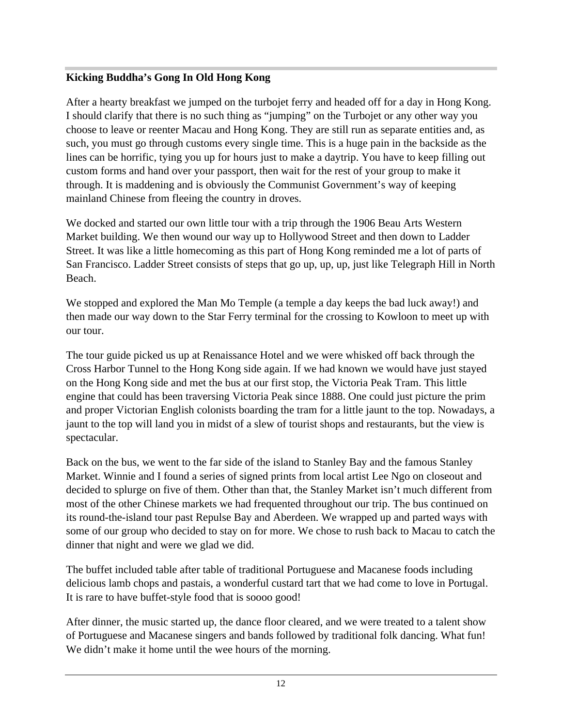#### **Kicking Buddha's Gong In Old Hong Kong**

After a hearty breakfast we jumped on the turbojet ferry and headed off for a day in Hong Kong. I should clarify that there is no such thing as "jumping" on the Turbojet or any other way you choose to leave or reenter Macau and Hong Kong. They are still run as separate entities and, as such, you must go through customs every single time. This is a huge pain in the backside as the lines can be horrific, tying you up for hours just to make a daytrip. You have to keep filling out custom forms and hand over your passport, then wait for the rest of your group to make it through. It is maddening and is obviously the Communist Government's way of keeping mainland Chinese from fleeing the country in droves.

We docked and started our own little tour with a trip through the 1906 Beau Arts Western Market building. We then wound our way up to Hollywood Street and then down to Ladder Street. It was like a little homecoming as this part of Hong Kong reminded me a lot of parts of San Francisco. Ladder Street consists of steps that go up, up, up, just like Telegraph Hill in North Beach.

We stopped and explored the Man Mo Temple (a temple a day keeps the bad luck away!) and then made our way down to the Star Ferry terminal for the crossing to Kowloon to meet up with our tour.

The tour guide picked us up at Renaissance Hotel and we were whisked off back through the Cross Harbor Tunnel to the Hong Kong side again. If we had known we would have just stayed on the Hong Kong side and met the bus at our first stop, the Victoria Peak Tram. This little engine that could has been traversing Victoria Peak since 1888. One could just picture the prim and proper Victorian English colonists boarding the tram for a little jaunt to the top. Nowadays, a jaunt to the top will land you in midst of a slew of tourist shops and restaurants, but the view is spectacular.

Back on the bus, we went to the far side of the island to Stanley Bay and the famous Stanley Market. Winnie and I found a series of signed prints from local artist Lee Ngo on closeout and decided to splurge on five of them. Other than that, the Stanley Market isn't much different from most of the other Chinese markets we had frequented throughout our trip. The bus continued on its round-the-island tour past Repulse Bay and Aberdeen. We wrapped up and parted ways with some of our group who decided to stay on for more. We chose to rush back to Macau to catch the dinner that night and were we glad we did.

The buffet included table after table of traditional Portuguese and Macanese foods including delicious lamb chops and pastais, a wonderful custard tart that we had come to love in Portugal. It is rare to have buffet-style food that is soooo good!

After dinner, the music started up, the dance floor cleared, and we were treated to a talent show of Portuguese and Macanese singers and bands followed by traditional folk dancing. What fun! We didn't make it home until the wee hours of the morning.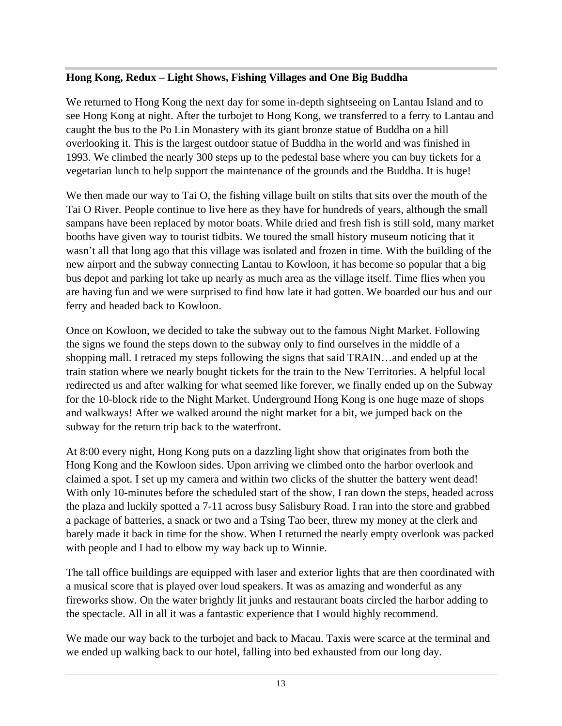#### **Hong Kong, Redux – Light Shows, Fishing Villages and One Big Buddha**

We returned to Hong Kong the next day for some in-depth sightseeing on Lantau Island and to see Hong Kong at night. After the turbojet to Hong Kong, we transferred to a ferry to Lantau and caught the bus to the Po Lin Monastery with its giant bronze statue of Buddha on a hill overlooking it. This is the largest outdoor statue of Buddha in the world and was finished in 1993. We climbed the nearly 300 steps up to the pedestal base where you can buy tickets for a vegetarian lunch to help support the maintenance of the grounds and the Buddha. It is huge!

We then made our way to Tai O, the fishing village built on stilts that sits over the mouth of the Tai O River. People continue to live here as they have for hundreds of years, although the small sampans have been replaced by motor boats. While dried and fresh fish is still sold, many market booths have given way to tourist tidbits. We toured the small history museum noticing that it wasn't all that long ago that this village was isolated and frozen in time. With the building of the new airport and the subway connecting Lantau to Kowloon, it has become so popular that a big bus depot and parking lot take up nearly as much area as the village itself. Time flies when you are having fun and we were surprised to find how late it had gotten. We boarded our bus and our ferry and headed back to Kowloon.

Once on Kowloon, we decided to take the subway out to the famous Night Market. Following the signs we found the steps down to the subway only to find ourselves in the middle of a shopping mall. I retraced my steps following the signs that said TRAIN…and ended up at the train station where we nearly bought tickets for the train to the New Territories. A helpful local redirected us and after walking for what seemed like forever, we finally ended up on the Subway for the 10-block ride to the Night Market. Underground Hong Kong is one huge maze of shops and walkways! After we walked around the night market for a bit, we jumped back on the subway for the return trip back to the waterfront.

At 8:00 every night, Hong Kong puts on a dazzling light show that originates from both the Hong Kong and the Kowloon sides. Upon arriving we climbed onto the harbor overlook and claimed a spot. I set up my camera and within two clicks of the shutter the battery went dead! With only 10-minutes before the scheduled start of the show, I ran down the steps, headed across the plaza and luckily spotted a 7-11 across busy Salisbury Road. I ran into the store and grabbed a package of batteries, a snack or two and a Tsing Tao beer, threw my money at the clerk and barely made it back in time for the show. When I returned the nearly empty overlook was packed with people and I had to elbow my way back up to Winnie.

The tall office buildings are equipped with laser and exterior lights that are then coordinated with a musical score that is played over loud speakers. It was as amazing and wonderful as any fireworks show. On the water brightly lit junks and restaurant boats circled the harbor adding to the spectacle. All in all it was a fantastic experience that I would highly recommend.

We made our way back to the turbojet and back to Macau. Taxis were scarce at the terminal and we ended up walking back to our hotel, falling into bed exhausted from our long day.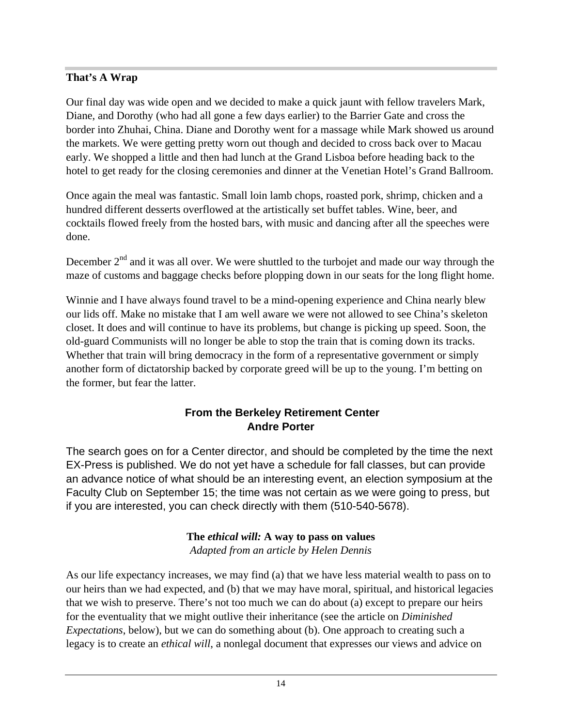#### **That's A Wrap**

Our final day was wide open and we decided to make a quick jaunt with fellow travelers Mark, Diane, and Dorothy (who had all gone a few days earlier) to the Barrier Gate and cross the border into Zhuhai, China. Diane and Dorothy went for a massage while Mark showed us around the markets. We were getting pretty worn out though and decided to cross back over to Macau early. We shopped a little and then had lunch at the Grand Lisboa before heading back to the hotel to get ready for the closing ceremonies and dinner at the Venetian Hotel's Grand Ballroom.

Once again the meal was fantastic. Small loin lamb chops, roasted pork, shrimp, chicken and a hundred different desserts overflowed at the artistically set buffet tables. Wine, beer, and cocktails flowed freely from the hosted bars, with music and dancing after all the speeches were done.

December  $2<sup>nd</sup>$  and it was all over. We were shuttled to the turbojet and made our way through the maze of customs and baggage checks before plopping down in our seats for the long flight home.

Winnie and I have always found travel to be a mind-opening experience and China nearly blew our lids off. Make no mistake that I am well aware we were not allowed to see China's skeleton closet. It does and will continue to have its problems, but change is picking up speed. Soon, the old-guard Communists will no longer be able to stop the train that is coming down its tracks. Whether that train will bring democracy in the form of a representative government or simply another form of dictatorship backed by corporate greed will be up to the young. I'm betting on the former, but fear the latter.

#### **From the Berkeley Retirement Center Andre Porter**

The search goes on for a Center director, and should be completed by the time the next EX-Press is published. We do not yet have a schedule for fall classes, but can provide an advance notice of what should be an interesting event, an election symposium at the Faculty Club on September 15; the time was not certain as we were going to press, but if you are interested, you can check directly with them (510-540-5678).

#### **The** *ethical will:* **A way to pass on values**  *Adapted from an article by Helen Dennis*

As our life expectancy increases, we may find (a) that we have less material wealth to pass on to our heirs than we had expected, and (b) that we may have moral, spiritual, and historical legacies that we wish to preserve. There's not too much we can do about (a) except to prepare our heirs for the eventuality that we might outlive their inheritance (see the article on *Diminished Expectations*, below), but we can do something about (b). One approach to creating such a legacy is to create an *ethical will*, a nonlegal document that expresses our views and advice on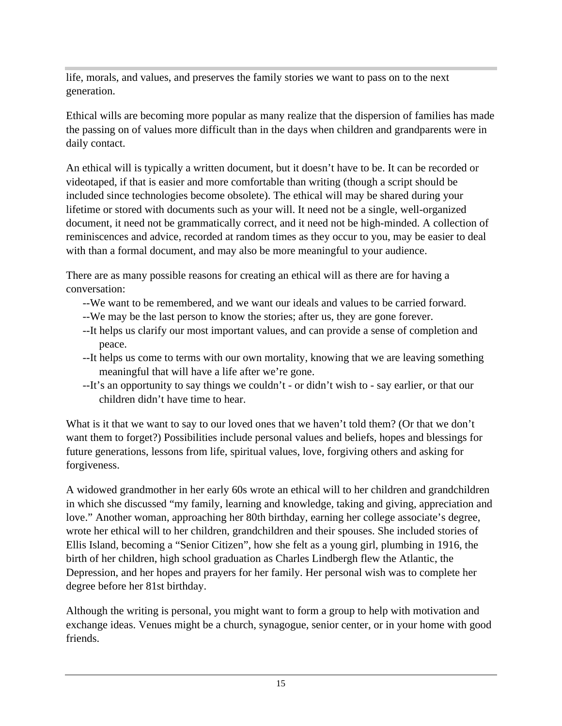life, morals, and values, and preserves the family stories we want to pass on to the next generation.

Ethical wills are becoming more popular as many realize that the dispersion of families has made the passing on of values more difficult than in the days when children and grandparents were in daily contact.

An ethical will is typically a written document, but it doesn't have to be. It can be recorded or videotaped, if that is easier and more comfortable than writing (though a script should be included since technologies become obsolete). The ethical will may be shared during your lifetime or stored with documents such as your will. It need not be a single, well-organized document, it need not be grammatically correct, and it need not be high-minded. A collection of reminiscences and advice, recorded at random times as they occur to you, may be easier to deal with than a formal document, and may also be more meaningful to your audience.

There are as many possible reasons for creating an ethical will as there are for having a conversation:

- --We want to be remembered, and we want our ideals and values to be carried forward.
- --We may be the last person to know the stories; after us, they are gone forever.
- --It helps us clarify our most important values, and can provide a sense of completion and peace.
- --It helps us come to terms with our own mortality, knowing that we are leaving something meaningful that will have a life after we're gone.
- --It's an opportunity to say things we couldn't or didn't wish to say earlier, or that our children didn't have time to hear.

What is it that we want to say to our loved ones that we haven't told them? (Or that we don't want them to forget?) Possibilities include personal values and beliefs, hopes and blessings for future generations, lessons from life, spiritual values, love, forgiving others and asking for forgiveness.

A widowed grandmother in her early 60s wrote an ethical will to her children and grandchildren in which she discussed "my family, learning and knowledge, taking and giving, appreciation and love." Another woman, approaching her 80th birthday, earning her college associate's degree, wrote her ethical will to her children, grandchildren and their spouses. She included stories of Ellis Island, becoming a "Senior Citizen", how she felt as a young girl, plumbing in 1916, the birth of her children, high school graduation as Charles Lindbergh flew the Atlantic, the Depression, and her hopes and prayers for her family. Her personal wish was to complete her degree before her 81st birthday.

Although the writing is personal, you might want to form a group to help with motivation and exchange ideas. Venues might be a church, synagogue, senior center, or in your home with good friends.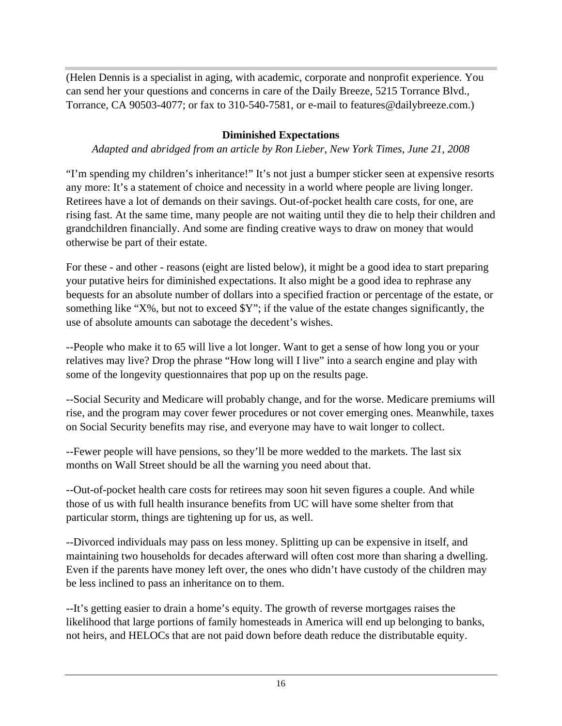(Helen Dennis is a specialist in aging, with academic, corporate and nonprofit experience. You can send her your questions and concerns in care of the Daily Breeze, 5215 Torrance Blvd., Torrance, CA 90503-4077; or fax to 310-540-7581, or e-mail to features@dailybreeze.com.)

#### **Diminished Expectations**

*Adapted and abridged from an article by Ron Lieber, New York Times, June 21, 2008*

"I'm spending my children's inheritance!" It's not just a bumper sticker seen at expensive resorts any more: It's a statement of choice and necessity in a world where people are living longer. Retirees have a lot of demands on their savings. Out-of-pocket health care costs, for one, are rising fast. At the same time, many people are not waiting until they die to help their children and grandchildren financially. And some are finding creative ways to draw on money that would otherwise be part of their estate.

For these - and other - reasons (eight are listed below), it might be a good idea to start preparing your putative heirs for diminished expectations. It also might be a good idea to rephrase any bequests for an absolute number of dollars into a specified fraction or percentage of the estate, or something like "X%, but not to exceed \$Y"; if the value of the estate changes significantly, the use of absolute amounts can sabotage the decedent's wishes.

--People who make it to 65 will live a lot longer. Want to get a sense of how long you or your relatives may live? Drop the phrase "How long will I live" into a search engine and play with some of the longevity questionnaires that pop up on the results page.

--Social Security and Medicare will probably change, and for the worse. Medicare premiums will rise, and the program may cover fewer procedures or not cover emerging ones. Meanwhile, taxes on Social Security benefits may rise, and everyone may have to wait longer to collect.

--Fewer people will have pensions, so they'll be more wedded to the markets. The last six months on Wall Street should be all the warning you need about that.

--Out-of-pocket health care costs for retirees may soon hit seven figures a couple. And while those of us with full health insurance benefits from UC will have some shelter from that particular storm, things are tightening up for us, as well.

--Divorced individuals may pass on less money. Splitting up can be expensive in itself, and maintaining two households for decades afterward will often cost more than sharing a dwelling. Even if the parents have money left over, the ones who didn't have custody of the children may be less inclined to pass an inheritance on to them.

--It's getting easier to drain a home's equity. The growth of reverse mortgages raises the likelihood that large portions of family homesteads in America will end up belonging to banks, not heirs, and HELOCs that are not paid down before death reduce the distributable equity.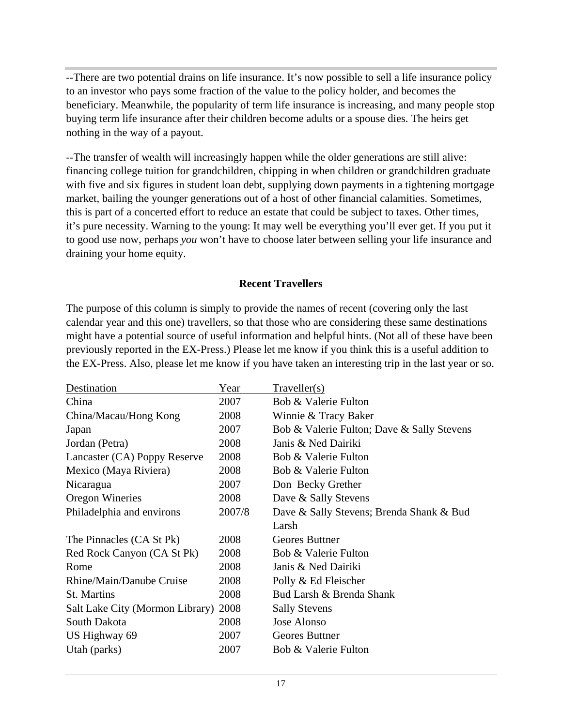--There are two potential drains on life insurance. It's now possible to sell a life insurance policy to an investor who pays some fraction of the value to the policy holder, and becomes the beneficiary. Meanwhile, the popularity of term life insurance is increasing, and many people stop buying term life insurance after their children become adults or a spouse dies. The heirs get nothing in the way of a payout.

--The transfer of wealth will increasingly happen while the older generations are still alive: financing college tuition for grandchildren, chipping in when children or grandchildren graduate with five and six figures in student loan debt, supplying down payments in a tightening mortgage market, bailing the younger generations out of a host of other financial calamities. Sometimes, this is part of a concerted effort to reduce an estate that could be subject to taxes. Other times, it's pure necessity. Warning to the young: It may well be everything you'll ever get. If you put it to good use now, perhaps *you* won't have to choose later between selling your life insurance and draining your home equity.

#### **Recent Travellers**

The purpose of this column is simply to provide the names of recent (covering only the last calendar year and this one) travellers, so that those who are considering these same destinations might have a potential source of useful information and helpful hints. (Not all of these have been previously reported in the EX-Press.) Please let me know if you think this is a useful addition to the EX-Press. Also, please let me know if you have taken an interesting trip in the last year or so.

| Destination                          | Year   | Traveller(s)                               |
|--------------------------------------|--------|--------------------------------------------|
| China                                | 2007   | Bob & Valerie Fulton                       |
| China/Macau/Hong Kong                | 2008   | Winnie & Tracy Baker                       |
| Japan                                | 2007   | Bob & Valerie Fulton; Dave & Sally Stevens |
| Jordan (Petra)                       | 2008   | Janis & Ned Dairiki                        |
| Lancaster (CA) Poppy Reserve         | 2008   | Bob & Valerie Fulton                       |
| Mexico (Maya Riviera)                | 2008   | Bob & Valerie Fulton                       |
| Nicaragua                            | 2007   | Don Becky Grether                          |
| <b>Oregon Wineries</b>               | 2008   | Dave & Sally Stevens                       |
| Philadelphia and environs            | 2007/8 | Dave & Sally Stevens; Brenda Shank & Bud   |
|                                      |        | Larsh                                      |
| The Pinnacles (CA St Pk)             | 2008   | Geores Buttner                             |
| Red Rock Canyon (CA St Pk)           | 2008   | Bob & Valerie Fulton                       |
| Rome                                 | 2008   | Janis & Ned Dairiki                        |
| Rhine/Main/Danube Cruise             | 2008   | Polly & Ed Fleischer                       |
| St. Martins                          | 2008   | Bud Larsh & Brenda Shank                   |
| Salt Lake City (Mormon Library) 2008 |        | <b>Sally Stevens</b>                       |
| South Dakota                         | 2008   | Jose Alonso                                |
| US Highway 69                        | 2007   | Geores Buttner                             |
| Utah (parks)                         | 2007   | Bob & Valerie Fulton                       |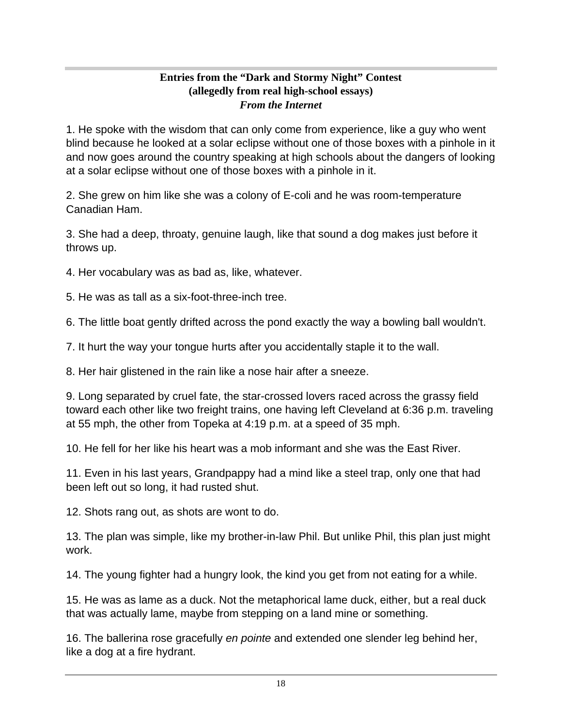#### **Entries from the "Dark and Stormy Night" Contest (allegedly from real high-school essays)** *From the Internet*

1. He spoke with the wisdom that can only come from experience, like a guy who went blind because he looked at a solar eclipse without one of those boxes with a pinhole in it and now goes around the country speaking at high schools about the dangers of looking at a solar eclipse without one of those boxes with a pinhole in it.

2. She grew on him like she was a colony of E-coli and he was room-temperature Canadian Ham.

3. She had a deep, throaty, genuine laugh, like that sound a dog makes just before it throws up.

4. Her vocabulary was as bad as, like, whatever.

5. He was as tall as a six-foot-three-inch tree.

6. The little boat gently drifted across the pond exactly the way a bowling ball wouldn't.

7. It hurt the way your tongue hurts after you accidentally staple it to the wall.

8. Her hair glistened in the rain like a nose hair after a sneeze.

9. Long separated by cruel fate, the star-crossed lovers raced across the grassy field toward each other like two freight trains, one having left Cleveland at 6:36 p.m. traveling at 55 mph, the other from Topeka at 4:19 p.m. at a speed of 35 mph.

10. He fell for her like his heart was a mob informant and she was the East River.

11. Even in his last years, Grandpappy had a mind like a steel trap, only one that had been left out so long, it had rusted shut.

12. Shots rang out, as shots are wont to do.

13. The plan was simple, like my brother-in-law Phil. But unlike Phil, this plan just might work. The contract of the contract of the contract of the contract of the contract of the contract of the contract of the contract of the contract of the contract of the contract of the contract of the contract of the cont

14. The young fighter had a hungry look, the kind you get from not eating for a while.

15. He was as lame as a duck. Not the metaphorical lame duck, either, but a real duck that was actually lame, maybe from stepping on a land mine or something.

16. The ballerina rose gracefully en pointe and extended one slender leg behind her, like a dog at a fire hydrant.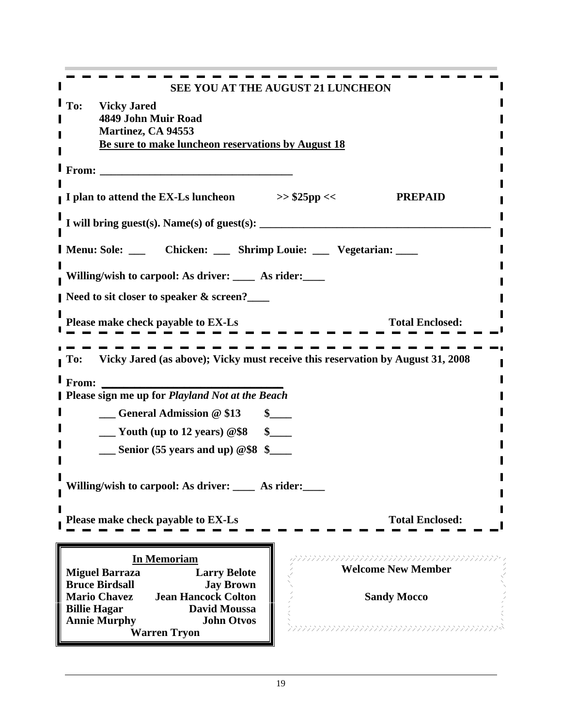| SEE YOU AT THE AUGUST 21 LUNCHEON                                                                                                  |                             |
|------------------------------------------------------------------------------------------------------------------------------------|-----------------------------|
| <b>I</b> To: Vicky Jared<br>4849 John Muir Road<br><b>Martinez, CA 94553</b><br>Be sure to make luncheon reservations by August 18 |                             |
| $\blacksquare$ From:                                                                                                               |                             |
| I plan to attend the EX-Ls luncheon<br>$>>$ \$25pp <<                                                                              | <b>PREPAID</b>              |
| I will bring guest(s). Name(s) of guest(s):                                                                                        |                             |
| Menu: Sole: ____ Chicken: ____ Shrimp Louie: ___ Vegetarian: ____                                                                  |                             |
| Willing/wish to carpool: As driver: ____ As rider: ___                                                                             |                             |
| Need to sit closer to speaker & screen?___                                                                                         |                             |
| Please make check payable to EX-Ls                                                                                                 | <b>Total Enclosed:</b>      |
| To: Vicky Jared (as above); Vicky must receive this reservation by August 31, 2008                                                 |                             |
| $\blacksquare$ From:                                                                                                               |                             |
| <b>Please sign me up for Playland Not at the Beach</b>                                                                             |                             |
| <b>Seneral Admission @ \$13</b><br>$\sim$<br>$\frac{1}{2}$ Youth (up to 12 years) @\$8 \ \ \$                                      |                             |
| $\frac{1}{2}$ Senior (55 years and up) @\$8 \ \$                                                                                   |                             |
|                                                                                                                                    |                             |
| Willing/wish to carpool: As driver: ____ As rider: ____                                                                            |                             |
| Please make check payable to EX-Ls                                                                                                 | <b>Total Enclosed:</b>      |
|                                                                                                                                    | mmmmmmmmmmmmmm              |
| <b>In Memoriam</b><br><b>Larry Belote</b><br><b>Miguel Barraza</b>                                                                 | <b>Welcome New Member</b>   |
| <b>Bruce Birdsall</b><br><b>Jay Brown</b><br><b>Mario Chavez</b><br><b>Jean Hancock Colton</b>                                     | <b>Sandy Mocco</b>          |
| <b>Billie Hagar</b><br><b>David Moussa</b><br><b>Annie Murphy</b><br><b>John Otvos</b><br><b>Warren Tryon</b>                      | <u> Annunumumumumumumum</u> |